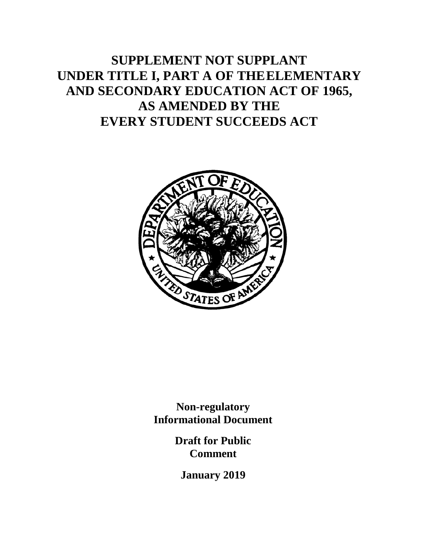# **SUPPLEMENT NOT SUPPLANT UNDER TITLE I, PART A OF THEELEMENTARY AND SECONDARY EDUCATION ACT OF 1965, AS AMENDED BY THE EVERY STUDENT SUCCEEDS ACT**



**Non-regulatory Informational Document**

> **Draft for Public Comment**

**January 2019**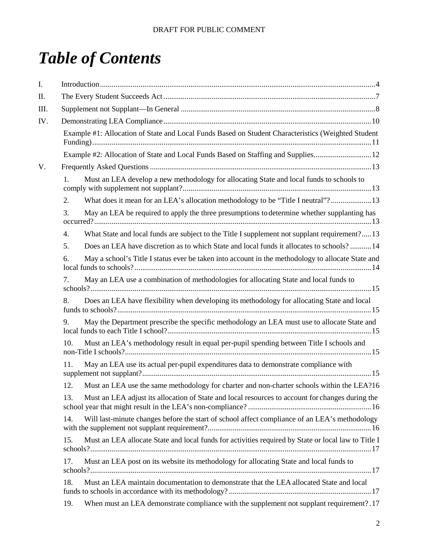# *Table of Contents*

| I.  |                                                                                                            |  |  |  |
|-----|------------------------------------------------------------------------------------------------------------|--|--|--|
| П.  |                                                                                                            |  |  |  |
| Ш.  |                                                                                                            |  |  |  |
| IV. |                                                                                                            |  |  |  |
|     | Example #1: Allocation of State and Local Funds Based on Student Characteristics (Weighted Student         |  |  |  |
|     | Example #2: Allocation of State and Local Funds Based on Staffing and Supplies12                           |  |  |  |
| V.  |                                                                                                            |  |  |  |
|     | Must an LEA develop a new methodology for allocating State and local funds to schools to<br>1.             |  |  |  |
|     | What does it mean for an LEA's allocation methodology to be "Title I neutral"? 13<br>2.                    |  |  |  |
|     | 3.<br>May an LEA be required to apply the three presumptions to determine whether supplanting has          |  |  |  |
|     | What State and local funds are subject to the Title I supplement not supplant requirement?13<br>4.         |  |  |  |
|     | 5.<br>Does an LEA have discretion as to which State and local funds it allocates to schools?14             |  |  |  |
|     | May a school's Title I status ever be taken into account in the methodology to allocate State and<br>6.    |  |  |  |
|     | May an LEA use a combination of methodologies for allocating State and local funds to<br>7.                |  |  |  |
|     | Does an LEA have flexibility when developing its methodology for allocating State and local<br>8.          |  |  |  |
|     | May the Department prescribe the specific methodology an LEA must use to allocate State and<br>9.          |  |  |  |
|     | Must an LEA's methodology result in equal per-pupil spending between Title I schools and<br>10.            |  |  |  |
|     | 11.<br>May an LEA use its actual per-pupil expenditures data to demonstrate compliance with                |  |  |  |
|     | Must an LEA use the same methodology for charter and non-charter schools within the LEA?16<br>12.          |  |  |  |
|     | Must an LEA adjust its allocation of State and local resources to account for changes during the<br>13.    |  |  |  |
|     | Will last-minute changes before the start of school affect compliance of an LEA's methodology<br>14.       |  |  |  |
|     | Must an LEA allocate State and local funds for activities required by State or local law to Title I<br>15. |  |  |  |
|     | Must an LEA post on its website its methodology for allocating State and local funds to<br>17.             |  |  |  |
|     | Must an LEA maintain documentation to demonstrate that the LEA allocated State and local<br>18.            |  |  |  |
|     | When must an LEA demonstrate compliance with the supplement not supplant requirement?.17<br>19.            |  |  |  |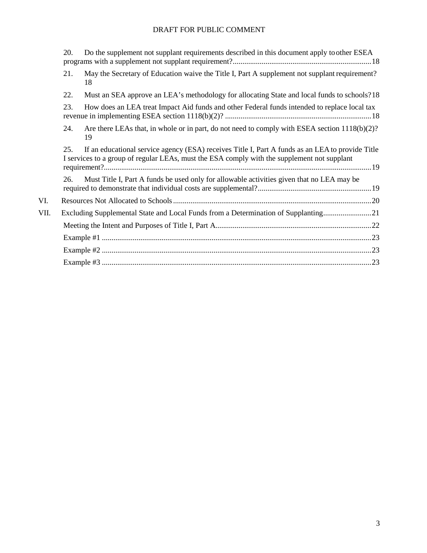|      | 20.                                                                                | Do the supplement not supplant requirements described in this document apply to other ESEA                                                                                                      |  |  |
|------|------------------------------------------------------------------------------------|-------------------------------------------------------------------------------------------------------------------------------------------------------------------------------------------------|--|--|
|      | 21.                                                                                | May the Secretary of Education waive the Title I, Part A supplement not supplant requirement?<br>18                                                                                             |  |  |
|      | 22.                                                                                | Must an SEA approve an LEA's methodology for allocating State and local funds to schools?18                                                                                                     |  |  |
|      | 23.                                                                                | How does an LEA treat Impact Aid funds and other Federal funds intended to replace local tax                                                                                                    |  |  |
|      | 24.                                                                                | Are there LEAs that, in whole or in part, do not need to comply with ESEA section 1118(b)(2)?<br>19                                                                                             |  |  |
|      | 25.                                                                                | If an educational service agency (ESA) receives Title I, Part A funds as an LEA to provide Title<br>I services to a group of regular LEAs, must the ESA comply with the supplement not supplant |  |  |
|      | 26.                                                                                | Must Title I, Part A funds be used only for allowable activities given that no LEA may be                                                                                                       |  |  |
| VI.  |                                                                                    |                                                                                                                                                                                                 |  |  |
| VII. | Excluding Supplemental State and Local Funds from a Determination of Supplanting21 |                                                                                                                                                                                                 |  |  |
|      |                                                                                    |                                                                                                                                                                                                 |  |  |
|      |                                                                                    |                                                                                                                                                                                                 |  |  |
|      |                                                                                    |                                                                                                                                                                                                 |  |  |
|      |                                                                                    |                                                                                                                                                                                                 |  |  |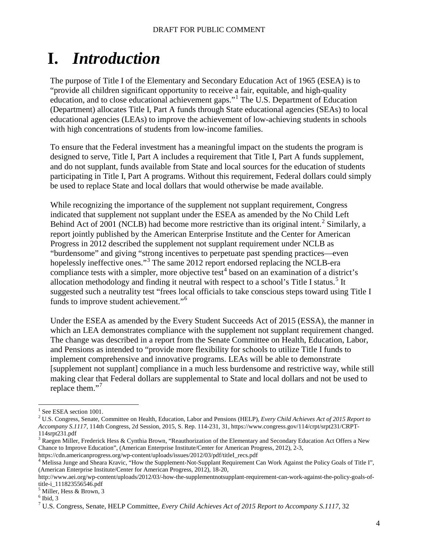# <span id="page-3-0"></span>**I.** *Introduction*

The purpose of Title I of the Elementary and Secondary Education Act of 1965 (ESEA) is to "provide all children significant opportunity to receive a fair, equitable, and high-quality education, and to close educational achievement gaps."[1](#page-3-1) The U.S. Department of Education (Department) allocates Title I, Part A funds through State educational agencies (SEAs) to local educational agencies (LEAs) to improve the achievement of low-achieving students in schools with high concentrations of students from low-income families.

To ensure that the Federal investment has a meaningful impact on the students the program is designed to serve, Title I, Part A includes a requirement that Title I, Part A funds supplement, and do not supplant, funds available from State and local sources for the education of students participating in Title I, Part A programs. Without this requirement, Federal dollars could simply be used to replace State and local dollars that would otherwise be made available.

While recognizing the importance of the supplement not supplant requirement, Congress indicated that supplement not supplant under the ESEA as amended by the No Child Left Behind Act of [2](#page-3-2)001 (NCLB) had become more restrictive than its original intent.<sup>2</sup> Similarly, a report jointly published by the American Enterprise Institute and the Center for American Progress in 2012 described the supplement not supplant requirement under NCLB as "burdensome" and giving "strong incentives to perpetuate past spending practices—even hopelessly ineffective ones."<sup>[3](#page-3-3)</sup> The same 2012 report endorsed replacing the NCLB-era compliance tests with a simpler, more objective test<sup>[4](#page-3-4)</sup> based on an examination of a district's allocation methodology and finding it neutral with respect to a school's Title I status.<sup>[5](#page-3-5)</sup> It suggested such a neutrality test "frees local officials to take conscious steps toward using Title I funds to improve student achievement."<sup>[6](#page-3-6)</sup>

Under the ESEA as amended by the Every Student Succeeds Act of 2015 (ESSA), the manner in which an LEA demonstrates compliance with the supplement not supplant requirement changed. The change was described in a report from the Senate Committee on Health, Education, Labor, and Pensions as intended to "provide more flexibility for schools to utilize Title I funds to implement comprehensive and innovative programs. LEAs will be able to demonstrate [supplement not supplant] compliance in a much less burdensome and restrictive way, while still making clear that Federal dollars are supplemental to State and local dollars and not be used to replace them."<sup>[7](#page-3-7)</sup>

(American Enterprise Institute/Center for American Progress, 2012), 18-20,

<span id="page-3-2"></span><span id="page-3-1"></span><sup>&</sup>lt;sup>1</sup> See ESEA section 1001.<br><sup>2</sup> U.S. Congress, Senate, Committee on Health, Education, Labor and Pensions (HELP), *Every Child Achieves Act of 2015 Report to Accompany S.1117*, 114th Congress, 2d Session, 2015, S. Rep. 114-231, 31, https://www.congress.gov/114/crpt/srpt231/CRPT-114srpt231.pdf

<span id="page-3-3"></span> $3$  Raegen Miller, Frederick Hess & Cynthia Brown, "Reauthorization of the Elementary and Secondary Education Act Offers a New Chance to Improve Education", (American Enterprise Institute/Center for American Progress, 2012), 2-3,

<span id="page-3-4"></span>https://cdn.americanprogress.org/wp-content/uploads/issues/2012/03/pdf/titleI\_recs.pdf<br><sup>4</sup> Melissa Junge and Sheara Kravic, "How the Supplement-Not-Supplant Requirement Can Work Against the Policy Goals of Title I",

http://www.aei.org/wp-content/uploads/2012/03/-how-the-supplementnotsupplant-requirement-can-work-against-the-policy-goals-of-

<span id="page-3-5"></span> $<sup>5</sup>$  Miller, Hess & Brown, 3</sup>

<span id="page-3-7"></span><span id="page-3-6"></span> $6$  Ibid, 3

<sup>7</sup> U.S. Congress, Senate, HELP Committee, *Every Child Achieves Act of 2015 Report to Accompany S.1117*, 32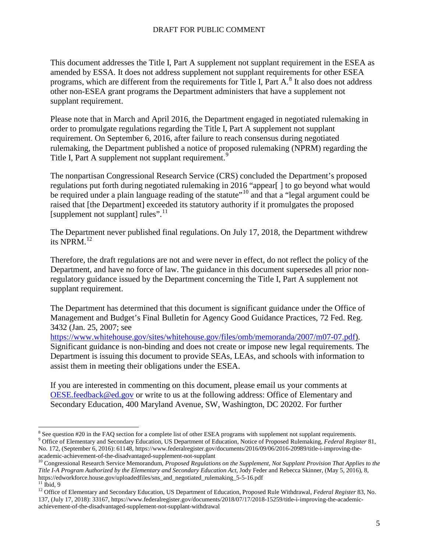This document addresses the Title I, Part A supplement not supplant requirement in the ESEA as amended by ESSA. It does not address supplement not supplant requirements for other ESEA programs, which are different from the requirements for Title I, Part A.<sup>[8](#page-4-0)</sup> It also does not address other non-ESEA grant programs the Department administers that have a supplement not supplant requirement.

Please note that in March and April 2016, the Department engaged in negotiated rulemaking in order to promulgate regulations regarding the Title I, Part A supplement not supplant requirement. On September 6, 2016, after failure to reach consensus during negotiated rulemaking, the Department published a notice of proposed rulemaking (NPRM) regarding the Title I, Part A supplement not supplant requirement.<sup>[9](#page-4-1)</sup>

The nonpartisan Congressional Research Service (CRS) concluded the Department's proposed regulations put forth during negotiated rulemaking in 2016 "appear[ ] to go beyond what would be required under a plain language reading of the statute"<sup>[10](#page-4-2)</sup> and that a "legal argument could be raised that [the Department] exceeded its statutory authority if it promulgates the proposed [supplement not supplant] rules".<sup>[11](#page-4-3)</sup>

The Department never published final regulations. On July 17, 2018, the Department withdrew its NPRM. [12](#page-4-4)

Therefore, the draft regulations are not and were never in effect, do not reflect the policy of the Department, and have no force of law. The guidance in this document supersedes all prior nonregulatory guidance issued by the Department concerning the Title I, Part A supplement not supplant requirement.

The Department has determined that this document is significant guidance under the Office of Management and Budget's Final Bulletin for Agency Good Guidance Practices, 72 Fed. Reg. 3432 (Jan. 25, 2007; see

[https://www.whitehouse.gov/sites/whitehouse.gov/files/omb/memoranda/2007/m07-07.pdf\)](https://www.whitehouse.gov/sites/whitehouse.gov/files/omb/memoranda/2007/m07-07.pdf). Significant guidance is non-binding and does not create or impose new legal requirements. The Department is issuing this document to provide SEAs, LEAs, and schools with information to assist them in meeting their obligations under the ESEA.

If you are interested in commenting on this document, please email us your comments at [OESE.feedback@ed.gov](mailto:OESE.feedback@ed.gov) or write to us at the following address: Office of Elementary and Secondary Education, 400 Maryland Avenue, SW, Washington, DC 20202. For further

<span id="page-4-1"></span><span id="page-4-0"></span> $^8$  See question #20 in the FAQ section for a complete list of other ESEA programs with supplement not supplant requirements.<br><sup>9</sup> Office of Elementary and Secondary Education, US Department of Education, Notice of Propos No. 172, (September 6, 2016): 61148, https://www.federalregister.gov/documents/2016/09/06/2016-20989/title-i-improving-the-

<span id="page-4-2"></span>academic-achievement-of-the-disadvantaged-supplement-not-supplant<br><sup>10</sup> Congressional Research Service Memorandum, *Proposed Regulations on the Supplement, Not Supplant Provision That Applies to the Title I-A Program Authorized by the Elementary and Secondary Education Act*, Jody Feder and Rebecca Skinner, (May 5, 2016), 8, https://edworkforce.house.gov/uploadedfiles/sns\_and\_negotiated\_rulemaking\_5-5-16.pdf

<span id="page-4-4"></span><span id="page-4-3"></span><sup>&</sup>lt;sup>11</sup> Ibid, 9<br><sup>12</sup> Office of Elementary and Secondary Education, US Department of Education, Proposed Rule Withdrawal, *Federal Register* 83, No. 137, (July 17, 2018): 33167, https://www.federalregister.gov/documents/2018/07/17/2018-15259/title-i-improving-the-academicachievement-of-the-disadvantaged-supplement-not-supplant-withdrawal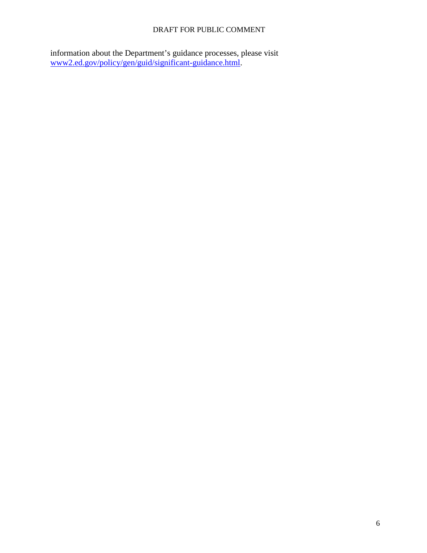information about the Department's guidance processes, please visit [www2.ed.gov/policy/gen/guid/significant-guidance.html.](http://www2.ed.gov/policy/gen/guid/significant-guidance.html)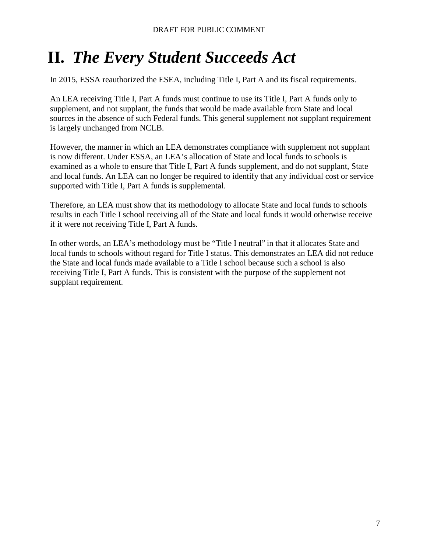# <span id="page-6-0"></span>**II.** *The Every Student Succeeds Act*

In 2015, ESSA reauthorized the ESEA, including Title I, Part A and its fiscal requirements.

An LEA receiving Title I, Part A funds must continue to use its Title I, Part A funds only to supplement, and not supplant, the funds that would be made available from State and local sources in the absence of such Federal funds. This general supplement not supplant requirement is largely unchanged from NCLB.

However, the manner in which an LEA demonstrates compliance with supplement not supplant is now different. Under ESSA, an LEA's allocation of State and local funds to schools is examined as a whole to ensure that Title I, Part A funds supplement, and do not supplant, State and local funds. An LEA can no longer be required to identify that any individual cost or service supported with Title I, Part A funds is supplemental.

Therefore, an LEA must show that its methodology to allocate State and local funds to schools results in each Title I school receiving all of the State and local funds it would otherwise receive if it were not receiving Title I, Part A funds.

In other words, an LEA's methodology must be "Title I neutral" in that it allocates State and local funds to schools without regard for Title I status. This demonstrates an LEA did not reduce the State and local funds made available to a Title I school because such a school is also receiving Title I, Part A funds. This is consistent with the purpose of the supplement not supplant requirement.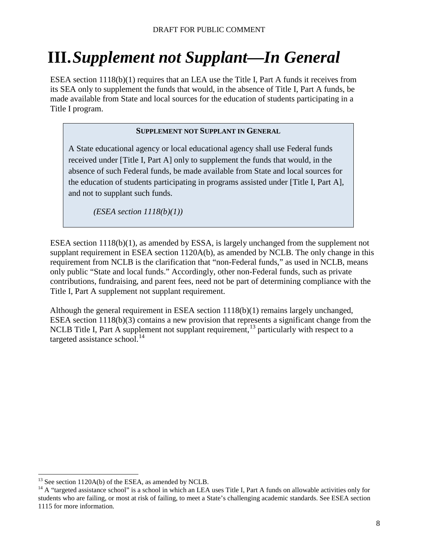# <span id="page-7-0"></span>**III.***Supplement not Supplant—In General*

ESEA section 1118(b)(1) requires that an LEA use the Title I, Part A funds it receives from its SEA only to supplement the funds that would, in the absence of Title I, Part A funds, be made available from State and local sources for the education of students participating in a Title I program.

#### **SUPPLEMENT NOT SUPPLANT IN GENERAL**

A State educational agency or local educational agency shall use Federal funds received under [Title I, Part A] only to supplement the funds that would, in the absence of such Federal funds, be made available from State and local sources for the education of students participating in programs assisted under [Title I, Part A], and not to supplant such funds.

*(ESEA section 1118(b)(1))*

ESEA section 1118(b)(1), as amended by ESSA, is largely unchanged from the supplement not supplant requirement in ESEA section 1120A(b), as amended by NCLB. The only change in this requirement from NCLB is the clarification that "non-Federal funds," as used in NCLB, means only public "State and local funds." Accordingly, other non-Federal funds, such as private contributions, fundraising, and parent fees, need not be part of determining compliance with the Title I, Part A supplement not supplant requirement.

Although the general requirement in ESEA section 1118(b)(1) remains largely unchanged, ESEA section 1118(b)(3) contains a new provision that represents a significant change from the NCLB Title I, Part A supplement not supplant requirement, <sup>[13](#page-7-1)</sup> particularly with respect to a targeted assistance school. [14](#page-7-2)

<span id="page-7-2"></span><span id="page-7-1"></span><sup>&</sup>lt;sup>13</sup> See section 1120A(b) of the ESEA, as amended by NCLB.<br><sup>14</sup> A "targeted assistance school" is a school in which an LEA uses Title I, Part A funds on allowable activities only for students who are failing, or most at risk of failing, to meet a State's challenging academic standards. See ESEA section 1115 for more information.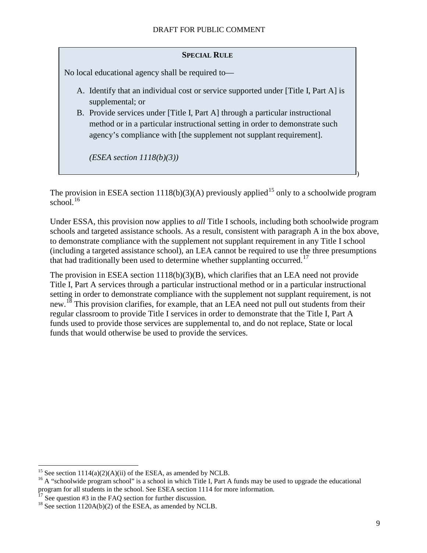#### **SPECIAL RULE**

No local educational agency shall be required to—

- A. Identify that an individual cost or service supported under [Title I, Part A] is supplemental; or
- B. Provide services under [Title I, Part A] through a particular instructional method or in a particular instructional setting in order to demonstrate such agency's compliance with [the supplement not supplant requirement].

*(ESEA section 1118(b)(3))*

The provision in ESEA section 1118(b)(3)(A) previously applied<sup>[15](#page-8-0)</sup> only to a schoolwide program school. [16](#page-8-1)

Under ESSA, this provision now applies to *all* Title I schools, including both schoolwide program schools and targeted assistance schools. As a result, consistent with paragraph A in the box above, to demonstrate compliance with the supplement not supplant requirement in any Title I school (including a targeted assistance school), an LEA cannot be required to use the three presumptions that had traditionally been used to determine whether supplanting occurred.<sup>[17](#page-8-2)</sup>

The provision in ESEA section 1118(b)(3)(B), which clarifies that an LEA need not provide Title I, Part A services through a particular instructional method or in a particular instructional setting in order to demonstrate compliance with the supplement not supplant requirement, is not new.<sup>[18](#page-8-3)</sup> This provision clarifies, for example, that an LEA need not pull out students from their regular classroom to provide Title I services in order to demonstrate that the Title I, Part A funds used to provide those services are supplemental to, and do not replace, State or local funds that would otherwise be used to provide the services.

)

<span id="page-8-1"></span><span id="page-8-0"></span><sup>&</sup>lt;sup>15</sup> See section 1114(a)(2)(A)(ii) of the ESEA, as amended by NCLB.<br><sup>16</sup> A "schoolwide program school" is a school in which Title I, Part A funds may be used to upgrade the educational program for all students in the school. See ESEA section 1114 for more information.<br><sup>17</sup> See question #3 in the FAQ section for further discussion.

<span id="page-8-2"></span>

<span id="page-8-3"></span> $18$  See section 1120A(b)(2) of the ESEA, as amended by NCLB.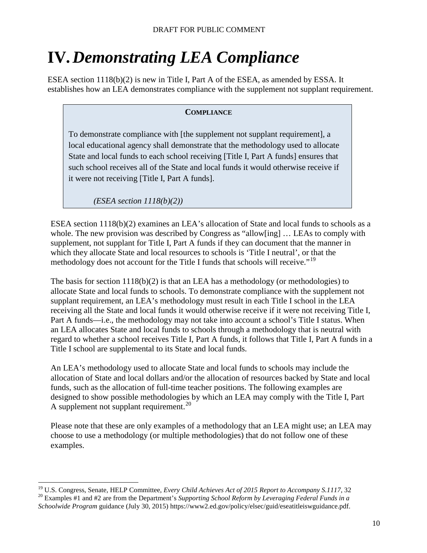# <span id="page-9-0"></span>**IV.***Demonstrating LEA Compliance*

ESEA section 1118(b)(2) is new in Title I, Part A of the ESEA, as amended by ESSA. It establishes how an LEA demonstrates compliance with the supplement not supplant requirement.

#### **COMPLIANCE**

To demonstrate compliance with [the supplement not supplant requirement], a local educational agency shall demonstrate that the methodology used to allocate State and local funds to each school receiving [Title I, Part A funds] ensures that such school receives all of the State and local funds it would otherwise receive if it were not receiving [Title I, Part A funds].

*(ESEA section 1118(b)(2))*

ESEA section 1118(b)(2) examines an LEA's allocation of State and local funds to schools as a whole. The new provision was described by Congress as "allow[ing] ... LEAs to comply with supplement, not supplant for Title I, Part A funds if they can document that the manner in which they allocate State and local resources to schools is 'Title I neutral', or that the methodology does not account for the Title I funds that schools will receive."<sup>[19](#page-9-1)</sup>

The basis for section  $1118(b)(2)$  is that an LEA has a methodology (or methodologies) to allocate State and local funds to schools. To demonstrate compliance with the supplement not supplant requirement, an LEA's methodology must result in each Title I school in the LEA receiving all the State and local funds it would otherwise receive if it were not receiving Title I, Part A funds—i.e., the methodology may not take into account a school's Title I status. When an LEA allocates State and local funds to schools through a methodology that is neutral with regard to whether a school receives Title I, Part A funds, it follows that Title I, Part A funds in a Title I school are supplemental to its State and local funds.

An LEA's methodology used to allocate State and local funds to schools may include the allocation of State and local dollars and/or the allocation of resources backed by State and local funds, such as the allocation of full-time teacher positions. The following examples are designed to show possible methodologies by which an LEA may comply with the Title I, Part A supplement not supplant requirement.<sup>[20](#page-9-2)</sup>

Please note that these are only examples of a methodology that an LEA might use; an LEA may choose to use a methodology (or multiple methodologies) that do not follow one of these examples.

<span id="page-9-1"></span><sup>&</sup>lt;sup>19</sup> U.S. Congress, Senate, HELP Committee, *Every Child Achieves Act of 2015 Report to Accompany S.1117*, 32<sup>20</sup> Examples #1 and #2 are from the Department's *Supporting School Reform by Leveraging Federal Funds in a* 

<span id="page-9-2"></span>*Schoolwide Program* guidance (July 30, 2015) https://www2.ed.gov/policy/elsec/guid/eseatitleiswguidance.pdf.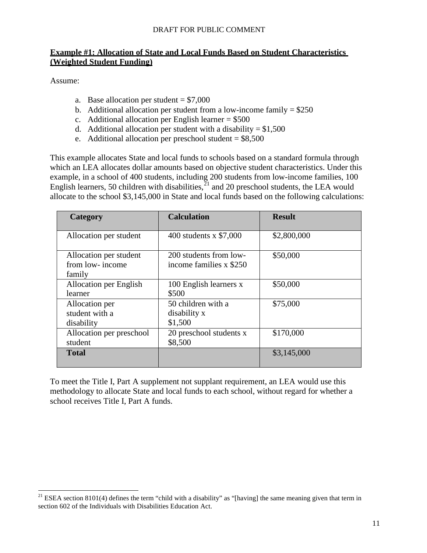#### <span id="page-10-0"></span>**Example #1: Allocation of State and Local Funds Based on Student Characteristics (Weighted Student Funding)**

Assume:

- a. Base allocation per student  $= $7,000$
- b. Additional allocation per student from a low-income family  $= $250$
- c. Additional allocation per English learner  $= $500$
- d. Additional allocation per student with a disability  $= $1,500$
- e. Additional allocation per preschool student  $= $8,500$

This example allocates State and local funds to schools based on a standard formula through which an LEA allocates dollar amounts based on objective student characteristics. Under this example, in a school of 400 students, including 200 students from low-income families, 100 English learners, 50 children with disabilities, $^{21}$  $^{21}$  $^{21}$  and 20 preschool students, the LEA would allocate to the school \$3,145,000 in State and local funds based on the following calculations:

| Category                                            | <b>Calculation</b>                                | <b>Result</b> |
|-----------------------------------------------------|---------------------------------------------------|---------------|
| Allocation per student                              | 400 students x \$7,000                            | \$2,800,000   |
| Allocation per student<br>from low-income<br>family | 200 students from low-<br>income families x \$250 | \$50,000      |
| Allocation per English<br>learner                   | 100 English learners x<br>\$500                   | \$50,000      |
| Allocation per<br>student with a<br>disability      | 50 children with a<br>disability x<br>\$1,500     | \$75,000      |
| Allocation per preschool<br>student                 | 20 preschool students x<br>\$8,500                | \$170,000     |
| <b>Total</b>                                        |                                                   | \$3,145,000   |

To meet the Title I, Part A supplement not supplant requirement, an LEA would use this methodology to allocate State and local funds to each school, without regard for whether a school receives Title I, Part A funds.

<span id="page-10-1"></span><sup>&</sup>lt;sup>21</sup> ESEA section 8101(4) defines the term "child with a disability" as "[having] the same meaning given that term in section 602 of the Individuals with Disabilities Education Act.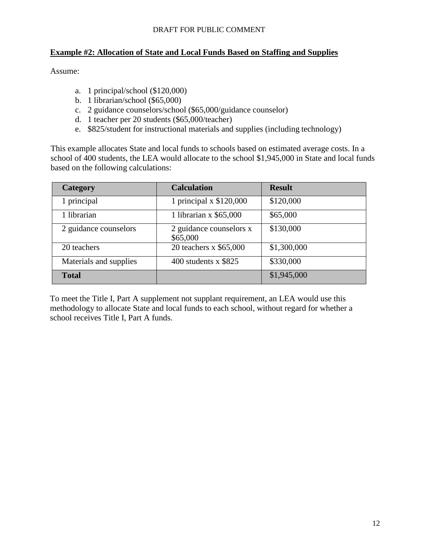#### <span id="page-11-0"></span>**Example #2: Allocation of State and Local Funds Based on Staffing and Supplies**

Assume:

- a. 1 principal/school (\$120,000)
- b. 1 librarian/school (\$65,000)
- c. 2 guidance counselors/school (\$65,000/guidance counselor)
- d. 1 teacher per 20 students (\$65,000/teacher)
- e. \$825/student for instructional materials and supplies (including technology)

This example allocates State and local funds to schools based on estimated average costs. In a school of 400 students, the LEA would allocate to the school \$1,945,000 in State and local funds based on the following calculations:

| Category               | <b>Calculation</b>                  | <b>Result</b> |
|------------------------|-------------------------------------|---------------|
| 1 principal            | 1 principal $x$ \$120,000           | \$120,000     |
| 1 librarian            | 1 librarian x $$65,000$             | \$65,000      |
| 2 guidance counselors  | 2 guidance counselors x<br>\$65,000 | \$130,000     |
| 20 teachers            | 20 teachers x \$65,000              | \$1,300,000   |
| Materials and supplies | 400 students $x$ \$825              | \$330,000     |
| <b>Total</b>           |                                     | \$1,945,000   |

To meet the Title I, Part A supplement not supplant requirement, an LEA would use this methodology to allocate State and local funds to each school, without regard for whether a school receives Title I, Part A funds.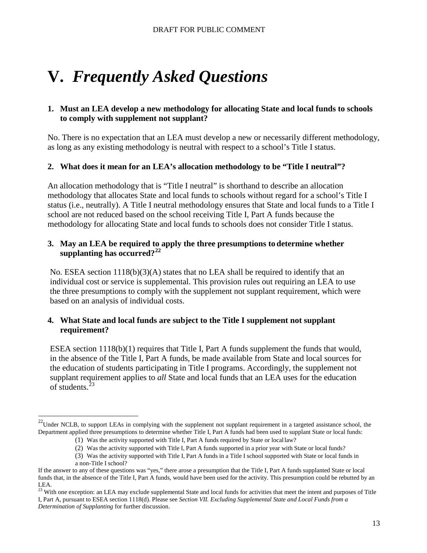# <span id="page-12-0"></span>**V.** *Frequently Asked Questions*

#### <span id="page-12-1"></span>**1. Must an LEA develop a new methodology for allocating State and local funds to schools to comply with supplement not supplant?**

No. There is no expectation that an LEA must develop a new or necessarily different methodology, as long as any existing methodology is neutral with respect to a school's Title I status.

#### <span id="page-12-2"></span>**2. What does it mean for an LEA's allocation methodology to be "Title I neutral"?**

An allocation methodology that is "Title I neutral" is shorthand to describe an allocation methodology that allocates State and local funds to schools without regard for a school's Title I status (i.e., neutrally). A Title I neutral methodology ensures that State and local funds to a Title I school are not reduced based on the school receiving Title I, Part A funds because the methodology for allocating State and local funds to schools does not consider Title I status.

#### <span id="page-12-3"></span>**3. May an LEA be required to apply the three presumptions to determine whether supplanting has occurred?[22](#page-12-5)**

No. ESEA section  $1118(b)(3)(A)$  states that no LEA shall be required to identify that an individual cost or service is supplemental. This provision rules out requiring an LEA to use the three presumptions to comply with the supplement not supplant requirement, which were based on an analysis of individual costs.

#### <span id="page-12-4"></span>**4. What State and local funds are subject to the Title I supplement not supplant requirement?**

ESEA section 1118(b)(1) requires that Title I, Part A funds supplement the funds that would, in the absence of the Title I, Part A funds, be made available from State and local sources for the education of students participating in Title I programs. Accordingly, the supplement not supplant requirement applies to *all* State and local funds that an LEA uses for the education of students. $^{23}$  $^{23}$  $^{23}$ 

<span id="page-12-5"></span> $22$ Under NCLB, to support LEAs in complying with the supplement not supplant requirement in a targeted assistance school, the Department applied three presumptions to determine whether Title I, Part A funds had been used to supplant State or local funds:

<sup>(1)</sup> Was the activity supported with Title I, Part A funds required by State or locallaw?

<sup>(2)</sup> Was the activity supported with Title I, Part A funds supported in a prior year with State or local funds?

<sup>(3)</sup> Was the activity supported with Title I, Part A funds in a Title I school supported with State or local funds in a non-Title I school?

If the answer to any of these questions was "yes," there arose a presumption that the Title I, Part A funds supplanted State or local funds that, in the absence of the Title I, Part A funds, would have been used for the activity. This presumption could be rebutted by an LEA.

<span id="page-12-6"></span><sup>&</sup>lt;sup>23</sup> With one exception: an LEA may exclude supplemental State and local funds for activities that meet the intent and purposes of Title I, Part A, pursuant to ESEA section 1118(d). Please see *Section VII. Excluding Supplemental State and Local Funds from a Determination of Supplanting* for further discussion.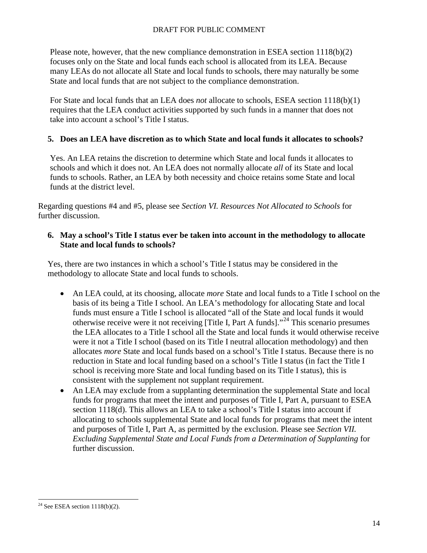Please note, however, that the new compliance demonstration in ESEA section 1118(b)(2) focuses only on the State and local funds each school is allocated from its LEA. Because many LEAs do not allocate all State and local funds to schools, there may naturally be some State and local funds that are not subject to the compliance demonstration.

For State and local funds that an LEA does *not* allocate to schools, ESEA section 1118(b)(1) requires that the LEA conduct activities supported by such funds in a manner that does not take into account a school's Title I status.

#### <span id="page-13-0"></span>**5. Does an LEA have discretion as to which State and local funds it allocates to schools?**

Yes. An LEA retains the discretion to determine which State and local funds it allocates to schools and which it does not. An LEA does not normally allocate *all* of its State and local funds to schools. Rather, an LEA by both necessity and choice retains some State and local funds at the district level.

Regarding questions #4 and #5, please see *Section VI. Resources Not Allocated to Schools* for further discussion.

#### <span id="page-13-1"></span>**6. May a school's Title I status ever be taken into account in the methodology to allocate State and local funds to schools?**

Yes, there are two instances in which a school's Title I status may be considered in the methodology to allocate State and local funds to schools.

- An LEA could, at its choosing, allocate *more* State and local funds to a Title I school on the basis of its being a Title I school. An LEA's methodology for allocating State and local funds must ensure a Title I school is allocated "all of the State and local funds it would otherwise receive were it not receiving [Title I, Part A funds].<sup> $24$ </sup> This scenario presumes the LEA allocates to a Title I school all the State and local funds it would otherwise receive were it not a Title I school (based on its Title I neutral allocation methodology) and then allocates *more* State and local funds based on a school's Title I status. Because there is no reduction in State and local funding based on a school's Title I status (in fact the Title I school is receiving more State and local funding based on its Title I status), this is consistent with the supplement not supplant requirement.
- An LEA may exclude from a supplanting determination the supplemental State and local funds for programs that meet the intent and purposes of Title I, Part A, pursuant to ESEA section 1118(d). This allows an LEA to take a school's Title I status into account if allocating to schools supplemental State and local funds for programs that meet the intent and purposes of Title I, Part A, as permitted by the exclusion. Please see *Section VII. Excluding Supplemental State and Local Funds from a Determination of Supplanting* for further discussion.

<span id="page-13-2"></span><sup>&</sup>lt;sup>24</sup> See ESEA section  $1118(b)(2)$ .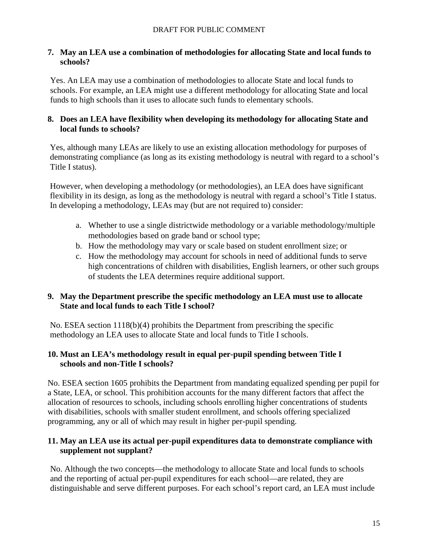#### <span id="page-14-0"></span>**7. May an LEA use a combination of methodologies for allocating State and local funds to schools?**

Yes. An LEA may use a combination of methodologies to allocate State and local funds to schools. For example, an LEA might use a different methodology for allocating State and local funds to high schools than it uses to allocate such funds to elementary schools.

#### <span id="page-14-1"></span>**8. Does an LEA have flexibility when developing its methodology for allocating State and local funds to schools?**

Yes, although many LEAs are likely to use an existing allocation methodology for purposes of demonstrating compliance (as long as its existing methodology is neutral with regard to a school's Title I status).

However, when developing a methodology (or methodologies), an LEA does have significant flexibility in its design, as long as the methodology is neutral with regard a school's Title I status. In developing a methodology, LEAs may (but are not required to) consider:

- a. Whether to use a single districtwide methodology or a variable methodology/multiple methodologies based on grade band or school type;
- b. How the methodology may vary or scale based on student enrollment size; or
- c. How the methodology may account for schools in need of additional funds to serve high concentrations of children with disabilities, English learners, or other such groups of students the LEA determines require additional support.

# <span id="page-14-2"></span>**9. May the Department prescribe the specific methodology an LEA must use to allocate State and local funds to each Title I school?**

No. ESEA section 1118(b)(4) prohibits the Department from prescribing the specific methodology an LEA uses to allocate State and local funds to Title I schools.

# <span id="page-14-3"></span>**10. Must an LEA's methodology result in equal per-pupil spending between Title I schools and non-Title I schools?**

No. ESEA section 1605 prohibits the Department from mandating equalized spending per pupil for a State, LEA, or school. This prohibition accounts for the many different factors that affect the allocation of resources to schools, including schools enrolling higher concentrations of students with disabilities, schools with smaller student enrollment, and schools offering specialized programming, any or all of which may result in higher per-pupil spending.

# <span id="page-14-4"></span>**11. May an LEA use its actual per-pupil expenditures data to demonstrate compliance with supplement not supplant?**

No. Although the two concepts—the methodology to allocate State and local funds to schools and the reporting of actual per-pupil expenditures for each school—are related, they are distinguishable and serve different purposes. For each school's report card, an LEA must include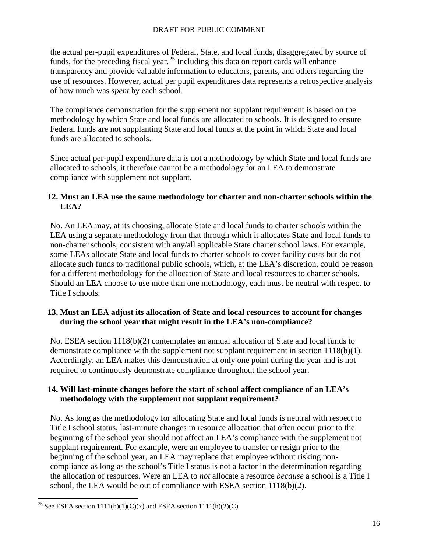the actual per-pupil expenditures of Federal, State, and local funds, disaggregated by source of funds, for the preceding fiscal year.<sup>[25](#page-15-3)</sup> Including this data on report cards will enhance transparency and provide valuable information to educators, parents, and others regarding the use of resources. However, actual per pupil expenditures data represents a retrospective analysis of how much was *spent* by each school.

The compliance demonstration for the supplement not supplant requirement is based on the methodology by which State and local funds are allocated to schools. It is designed to ensure Federal funds are not supplanting State and local funds at the point in which State and local funds are allocated to schools.

Since actual per-pupil expenditure data is not a methodology by which State and local funds are allocated to schools, it therefore cannot be a methodology for an LEA to demonstrate compliance with supplement not supplant.

### <span id="page-15-0"></span>**12. Must an LEA use the same methodology for charter and non-charter schools within the LEA?**

No. An LEA may, at its choosing, allocate State and local funds to charter schools within the LEA using a separate methodology from that through which it allocates State and local funds to non-charter schools, consistent with any/all applicable State charter school laws. For example, some LEAs allocate State and local funds to charter schools to cover facility costs but do not allocate such funds to traditional public schools, which, at the LEA's discretion, could be reason for a different methodology for the allocation of State and local resources to charter schools. Should an LEA choose to use more than one methodology, each must be neutral with respect to Title I schools.

#### <span id="page-15-1"></span>**13. Must an LEA adjust its allocation of State and local resources to account for changes during the school year that might result in the LEA's non-compliance?**

No. ESEA section 1118(b)(2) contemplates an annual allocation of State and local funds to demonstrate compliance with the supplement not supplant requirement in section 1118(b)(1). Accordingly, an LEA makes this demonstration at only one point during the year and is not required to continuously demonstrate compliance throughout the school year.

# <span id="page-15-2"></span>**14. Will last-minute changes before the start of school affect compliance of an LEA's methodology with the supplement not supplant requirement?**

No. As long as the methodology for allocating State and local funds is neutral with respect to Title I school status, last-minute changes in resource allocation that often occur prior to the beginning of the school year should not affect an LEA's compliance with the supplement not supplant requirement. For example, were an employee to transfer or resign prior to the beginning of the school year, an LEA may replace that employee without risking noncompliance as long as the school's Title I status is not a factor in the determination regarding the allocation of resources. Were an LEA to *not* allocate a resource *because* a school is a Title I school, the LEA would be out of compliance with ESEA section 1118(b)(2).

<span id="page-15-3"></span><sup>&</sup>lt;sup>25</sup> See ESEA section 1111(h)(1)(C)(x) and ESEA section 1111(h)(2)(C)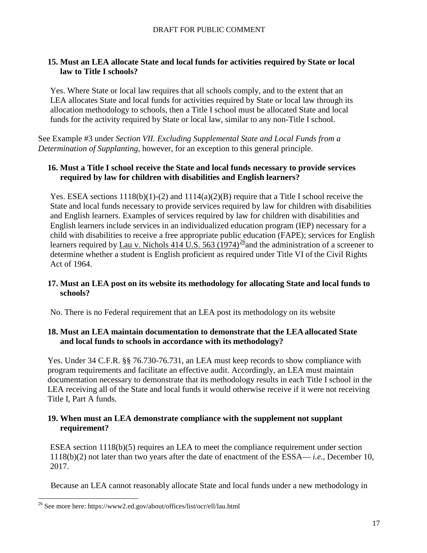### <span id="page-16-0"></span>**15. Must an LEA allocate State and local funds for activities required by State or local law to Title I schools?**

Yes. Where State or local law requires that all schools comply, and to the extent that an LEA allocates State and local funds for activities required by State or local law through its allocation methodology to schools, then a Title I school must be allocated State and local funds for the activity required by State or local law, similar to any non-Title I school.

See Example #3 under *Section VII. Excluding Supplemental State and Local Funds from a Determination of Supplanting*, however, for an exception to this general principle.

#### **16. Must a Title I school receive the State and local funds necessary to provide services required by law for children with disabilities and English learners?**

Yes. ESEA sections  $1118(b)(1)-(2)$  and  $1114(a)(2)(B)$  require that a Title I school receive the State and local funds necessary to provide services required by law for children with disabilities and English learners. Examples of services required by law for children with disabilities and English learners include services in an individualized education program (IEP) necessary for a child with disabilities to receive a free appropriate public education (FAPE); services for English learners required by Lau v. Nichols 414 U.S. 563 (1974)<sup>26</sup>and the administration of a screener to determine whether a student is English proficient as required under Title VI of the Civil Rights Act of 1964.

#### <span id="page-16-1"></span>**17. Must an LEA post on its website its methodology for allocating State and local funds to schools?**

No. There is no Federal requirement that an LEA post its methodology on its website

#### <span id="page-16-2"></span>**18. Must an LEA maintain documentation to demonstrate that the LEA allocated State and local funds to schools in accordance with its methodology?**

Yes. Under 34 C.F.R. §§ 76.730-76.731, an LEA must keep records to show compliance with program requirements and facilitate an effective audit. Accordingly, an LEA must maintain documentation necessary to demonstrate that its methodology results in each Title I school in the LEA receiving all of the State and local funds it would otherwise receive if it were not receiving Title I, Part A funds.

# <span id="page-16-3"></span>**19. When must an LEA demonstrate compliance with the supplement not supplant requirement?**

ESEA section 1118(b)(5) requires an LEA to meet the compliance requirement under section 1118(b)(2) not later than two years after the date of enactment of the ESSA— *i.e.*, December 10, 2017.

Because an LEA cannot reasonably allocate State and local funds under a new methodology in

<span id="page-16-4"></span> <sup>26</sup> See more here: https://www2.ed.gov/about/offices/list/ocr/ell/lau.html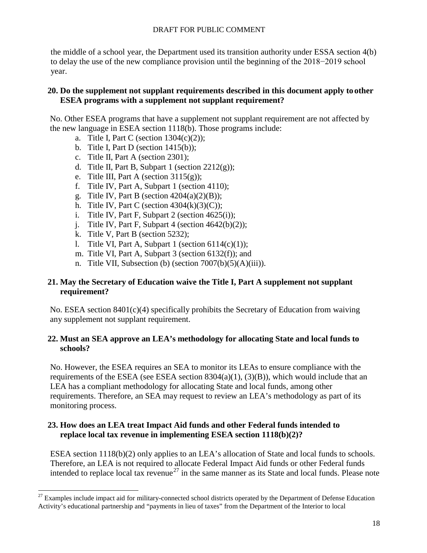the middle of a school year, the Department used its transition authority under ESSA section 4(b) to delay the use of the new compliance provision until the beginning of the 2018−2019 school year.

#### <span id="page-17-0"></span>**20. Do the supplement not supplant requirements described in this document apply to other ESEA programs with a supplement not supplant requirement?**

No. Other ESEA programs that have a supplement not supplant requirement are not affected by the new language in ESEA section 1118(b). Those programs include:

- a. Title I, Part C (section  $1304(c)(2)$ );
- b. Title I, Part D (section  $1415(b)$ );
- c. Title II, Part A (section 2301);
- d. Title II, Part B, Subpart 1 (section  $2212(g)$ );
- e. Title III, Part A (section  $3115(g)$ );
- f. Title IV, Part A, Subpart 1 (section 4110);
- g. Title IV, Part B (section  $4204(a)(2)(B)$ );
- h. Title IV, Part C (section  $4304(k)(3)(C)$ );
- i. Title IV, Part F, Subpart 2 (section  $4625(i)$ );
- j. Title IV, Part F, Subpart 4 (section  $4642(b)(2)$ );
- k. Title V, Part B (section 5232);
- l. Title VI, Part A, Subpart 1 (section  $6114(c)(1)$ );
- m. Title VI, Part A, Subpart 3 (section 6132(f)); and
- n. Title VII, Subsection (b) (section 7007(b)(5)(A)(iii)).

#### <span id="page-17-1"></span>**21. May the Secretary of Education waive the Title I, Part A supplement not supplant requirement?**

No. ESEA section 8401(c)(4) specifically prohibits the Secretary of Education from waiving any supplement not supplant requirement.

#### <span id="page-17-2"></span>**22. Must an SEA approve an LEA's methodology for allocating State and local funds to schools?**

No. However, the ESEA requires an SEA to monitor its LEAs to ensure compliance with the requirements of the ESEA (see ESEA section  $8304(a)(1)$ ,  $(3)(B)$ ), which would include that an LEA has a compliant methodology for allocating State and local funds, among other requirements. Therefore, an SEA may request to review an LEA's methodology as part of its monitoring process.

# <span id="page-17-3"></span>**23. How does an LEA treat Impact Aid funds and other Federal funds intended to replace local tax revenue in implementing ESEA section 1118(b)(2)?**

ESEA section 1118(b)(2) only applies to an LEA's allocation of State and local funds to schools. Therefore, an LEA is not required to allocate Federal Impact Aid funds or other Federal funds intended to replace local tax revenue<sup>[27](#page-17-4)</sup> in the same manner as its State and local funds. Please note

<span id="page-17-4"></span> $27$  Examples include impact aid for military-connected school districts operated by the Department of Defense Education Activity's educational partnership and "payments in lieu of taxes" from the Department of the Interior to local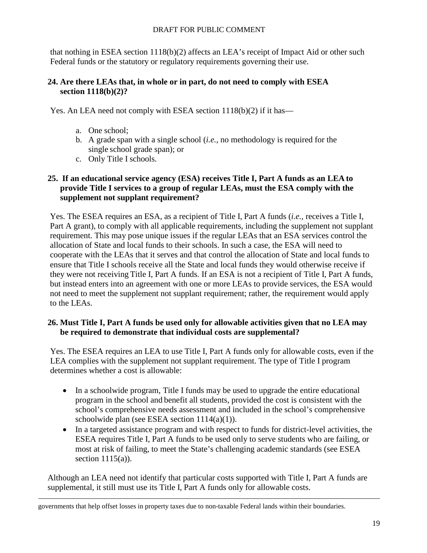that nothing in ESEA section 1118(b)(2) affects an LEA's receipt of Impact Aid or other such Federal funds or the statutory or regulatory requirements governing their use.

### <span id="page-18-0"></span>**24. Are there LEAs that, in whole or in part, do not need to comply with ESEA section 1118(b)(2)?**

Yes. An LEA need not comply with ESEA section 1118(b)(2) if it has—

- a. One school;
- b. A grade span with a single school (*i.e.*, no methodology is required for the single school grade span); or
- c. Only Title I schools.

# <span id="page-18-1"></span>**25. If an educational service agency (ESA) receives Title I, Part A funds as an LEA to provide Title I services to a group of regular LEAs, must the ESA comply with the supplement not supplant requirement?**

Yes. The ESEA requires an ESA, as a recipient of Title I, Part A funds (*i.e.*, receives a Title I, Part A grant), to comply with all applicable requirements, including the supplement not supplant requirement. This may pose unique issues if the regular LEAs that an ESA services control the allocation of State and local funds to their schools. In such a case, the ESA will need to cooperate with the LEAs that it serves and that control the allocation of State and local funds to ensure that Title I schools receive all the State and local funds they would otherwise receive if they were not receiving Title I, Part A funds. If an ESA is not a recipient of Title I, Part A funds, but instead enters into an agreement with one or more LEAs to provide services, the ESA would not need to meet the supplement not supplant requirement; rather, the requirement would apply to the LEAs.

# <span id="page-18-2"></span>**26. Must Title I, Part A funds be used only for allowable activities given that no LEA may be required to demonstrate that individual costs are supplemental?**

Yes. The ESEA requires an LEA to use Title I, Part A funds only for allowable costs, even if the LEA complies with the supplement not supplant requirement. The type of Title I program determines whether a cost is allowable:

- In a schoolwide program, Title I funds may be used to upgrade the entire educational program in the school and benefit all students, provided the cost is consistent with the school's comprehensive needs assessment and included in the school's comprehensive schoolwide plan (see ESEA section  $1114(a)(1)$ ).
- In a targeted assistance program and with respect to funds for district-level activities, the ESEA requires Title I, Part A funds to be used only to serve students who are failing, or most at risk of failing, to meet the State's challenging academic standards (see ESEA section  $1115(a)$ ).

Although an LEA need not identify that particular costs supported with Title I, Part A funds are supplemental, it still must use its Title I, Part A funds only for allowable costs.

<sup>&</sup>lt;u>.</u> governments that help offset losses in property taxes due to non-taxable Federal lands within their boundaries.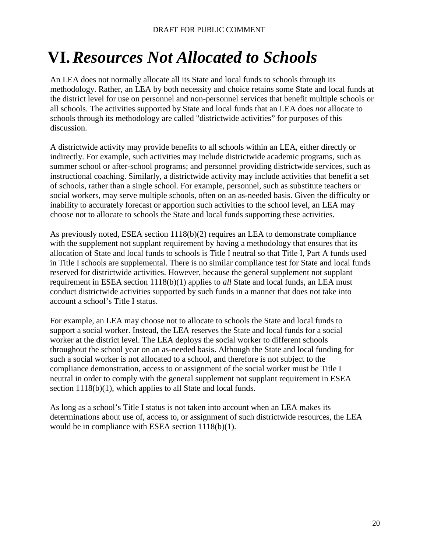# <span id="page-19-0"></span>**VI.***Resources Not Allocated to Schools*

An LEA does not normally allocate all its State and local funds to schools through its methodology. Rather, an LEA by both necessity and choice retains some State and local funds at the district level for use on personnel and non-personnel services that benefit multiple schools or all schools. The activities supported by State and local funds that an LEA does *not* allocate to schools through its methodology are called "districtwide activities" for purposes of this discussion.

A districtwide activity may provide benefits to all schools within an LEA, either directly or indirectly. For example, such activities may include districtwide academic programs, such as summer school or after-school programs; and personnel providing districtwide services, such as instructional coaching. Similarly, a districtwide activity may include activities that benefit a set of schools, rather than a single school. For example, personnel, such as substitute teachers or social workers, may serve multiple schools, often on an as-needed basis. Given the difficulty or inability to accurately forecast or apportion such activities to the school level, an LEA may choose not to allocate to schools the State and local funds supporting these activities.

As previously noted, ESEA section 1118(b)(2) requires an LEA to demonstrate compliance with the supplement not supplant requirement by having a methodology that ensures that its allocation of State and local funds to schools is Title I neutral so that Title I, Part A funds used in Title I schools are supplemental. There is no similar compliance test for State and local funds reserved for districtwide activities. However, because the general supplement not supplant requirement in ESEA section 1118(b)(1) applies to *all* State and local funds, an LEA must conduct districtwide activities supported by such funds in a manner that does not take into account a school's Title I status.

For example, an LEA may choose not to allocate to schools the State and local funds to support a social worker. Instead, the LEA reserves the State and local funds for a social worker at the district level. The LEA deploys the social worker to different schools throughout the school year on an as-needed basis. Although the State and local funding for such a social worker is not allocated to a school, and therefore is not subject to the compliance demonstration, access to or assignment of the social worker must be Title I neutral in order to comply with the general supplement not supplant requirement in ESEA section 1118(b)(1), which applies to all State and local funds.

As long as a school's Title I status is not taken into account when an LEA makes its determinations about use of, access to, or assignment of such districtwide resources, the LEA would be in compliance with ESEA section 1118(b)(1).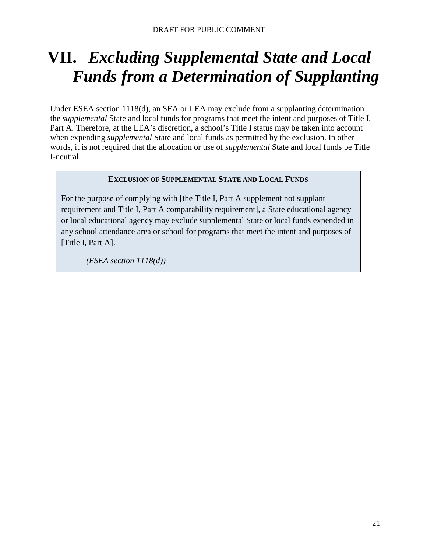# <span id="page-20-0"></span>**VII.** *Excluding Supplemental State and Local Funds from a Determination of Supplanting*

Under ESEA section 1118(d), an SEA or LEA may exclude from a supplanting determination the *supplemental* State and local funds for programs that meet the intent and purposes of Title I, Part A. Therefore, at the LEA's discretion, a school's Title I status may be taken into account when expending *supplemental* State and local funds as permitted by the exclusion. In other words, it is not required that the allocation or use of *supplemental* State and local funds be Title I-neutral.

#### **EXCLUSION OF SUPPLEMENTAL STATE AND LOCAL FUNDS**

For the purpose of complying with [the Title I, Part A supplement not supplant requirement and Title I, Part A comparability requirement], a State educational agency or local educational agency may exclude supplemental State or local funds expended in any school attendance area or school for programs that meet the intent and purposes of [Title I, Part A].

*(ESEA section 1118(d))*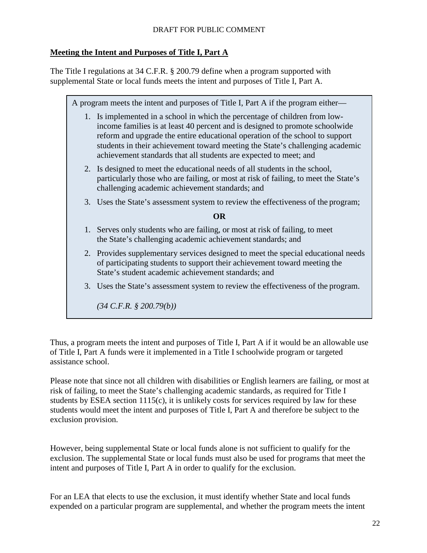# <span id="page-21-0"></span>**Meeting the Intent and Purposes of Title I, Part A**

The Title I regulations at 34 C.F.R. § 200.79 define when a program supported with supplemental State or local funds meets the intent and purposes of Title I, Part A.

A program meets the intent and purposes of Title I, Part A if the program either— 1. Is implemented in a school in which the percentage of children from lowincome families is at least 40 percent and is designed to promote schoolwide reform and upgrade the entire educational operation of the school to support students in their achievement toward meeting the State's challenging academic achievement standards that all students are expected to meet; and 2. Is designed to meet the educational needs of all students in the school, particularly those who are failing, or most at risk of failing, to meet the State's challenging academic achievement standards; and 3. Uses the State's assessment system to review the effectiveness of the program; **OR** 1. Serves only students who are failing, or most at risk of failing, to meet the State's challenging academic achievement standards; and 2. Provides supplementary services designed to meet the special educational needs of participating students to support their achievement toward meeting the State's student academic achievement standards; and 3. Uses the State's assessment system to review the effectiveness of the program. *(34 C.F.R. § 200.79(b))*

Thus, a program meets the intent and purposes of Title I, Part A if it would be an allowable use of Title I, Part A funds were it implemented in a Title I schoolwide program or targeted assistance school.

Please note that since not all children with disabilities or English learners are failing, or most at risk of failing, to meet the State's challenging academic standards, as required for Title I students by ESEA section 1115(c), it is unlikely costs for services required by law for these students would meet the intent and purposes of Title I, Part A and therefore be subject to the exclusion provision.

However, being supplemental State or local funds alone is not sufficient to qualify for the exclusion. The supplemental State or local funds must also be used for programs that meet the intent and purposes of Title I, Part A in order to qualify for the exclusion.

For an LEA that elects to use the exclusion, it must identify whether State and local funds expended on a particular program are supplemental, and whether the program meets the intent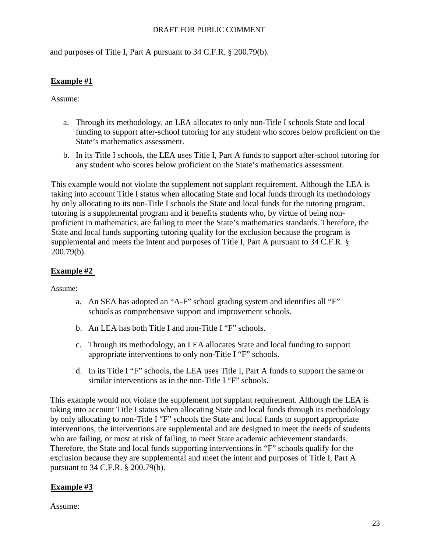and purposes of Title I, Part A pursuant to 34 C.F.R. § 200.79(b).

# <span id="page-22-0"></span>**Example #1**

Assume:

- a. Through its methodology, an LEA allocates to only non-Title I schools State and local funding to support after-school tutoring for any student who scores below proficient on the State's mathematics assessment.
- b. In its Title I schools, the LEA uses Title I, Part A funds to support after-school tutoring for any student who scores below proficient on the State's mathematics assessment.

This example would not violate the supplement not supplant requirement. Although the LEA is taking into account Title I status when allocating State and local funds through its methodology by only allocating to its non-Title I schools the State and local funds for the tutoring program, tutoring is a supplemental program and it benefits students who, by virtue of being nonproficient in mathematics, are failing to meet the State's mathematics standards. Therefore, the State and local funds supporting tutoring qualify for the exclusion because the program is supplemental and meets the intent and purposes of Title I, Part A pursuant to 34 C.F.R. § 200.79(b).

# <span id="page-22-1"></span>**Example #2**

Assume:

- a. An SEA has adopted an "A-F" school grading system and identifies all "F" schools as comprehensive support and improvement schools.
- b. An LEA has both Title I and non-Title I "F" schools.
- c. Through its methodology, an LEA allocates State and local funding to support appropriate interventions to only non-Title I "F" schools.
- d. In its Title I "F" schools, the LEA uses Title I, Part A funds to support the same or similar interventions as in the non-Title I "F" schools.

This example would not violate the supplement not supplant requirement. Although the LEA is taking into account Title I status when allocating State and local funds through its methodology by only allocating to non-Title I "F" schools the State and local funds to support appropriate interventions, the interventions are supplemental and are designed to meet the needs of students who are failing, or most at risk of failing, to meet State academic achievement standards. Therefore, the State and local funds supporting interventions in "F" schools qualify for the exclusion because they are supplemental and meet the intent and purposes of Title I, Part A pursuant to 34 C.F.R. § 200.79(b).

# <span id="page-22-2"></span>**Example #3**

Assume: